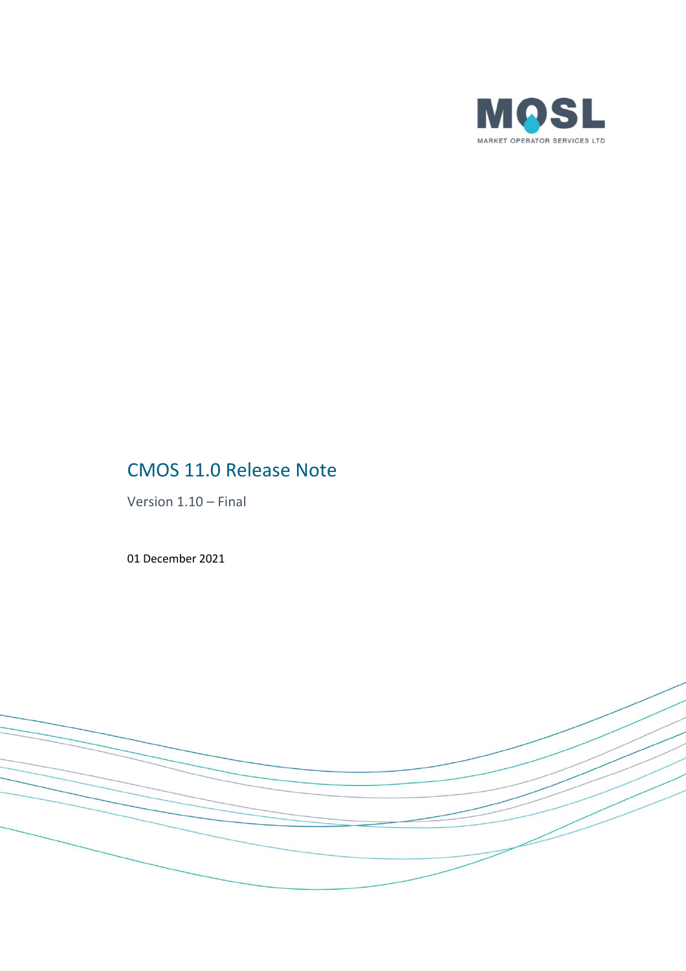

# CMOS 11.0 Release Note

Version 1.10 – Final

01 December 2021

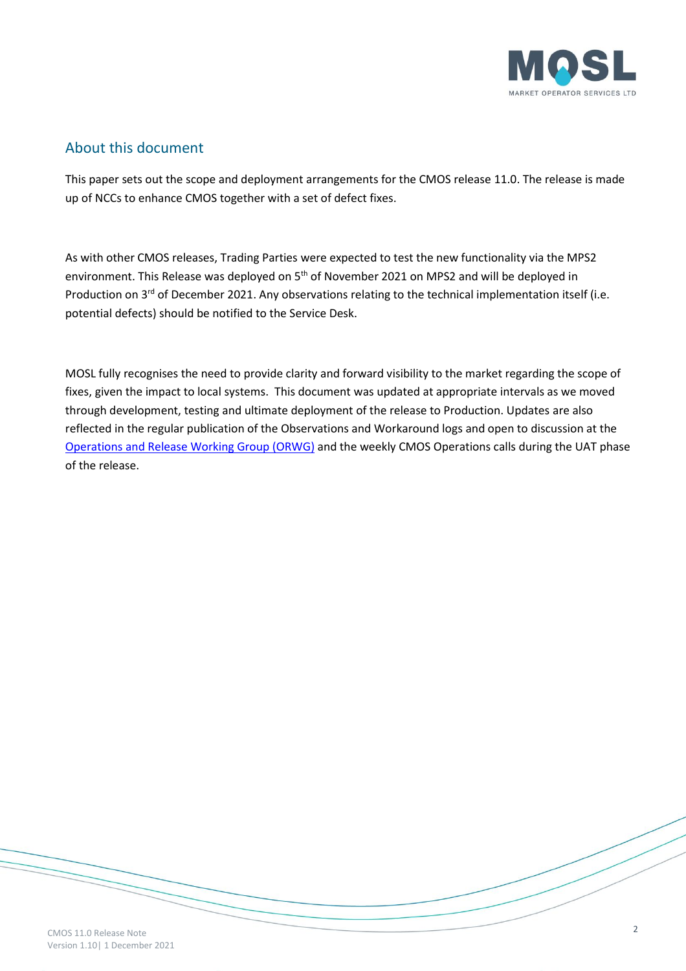

#### About this document

This paper sets out the scope and deployment arrangements for the CMOS release 11.0. The release is made up of NCCs to enhance CMOS together with a set of defect fixes.

As with other CMOS releases, Trading Parties were expected to test the new functionality via the MPS2 environment. This Release was deployed on 5<sup>th</sup> of November 2021 on MPS2 and will be deployed in Production on 3<sup>rd</sup> of December 2021. Any observations relating to the technical implementation itself (i.e. potential defects) should be notified to the Service Desk.

MOSL fully recognises the need to provide clarity and forward visibility to the market regarding the scope of fixes, given the impact to local systems. This document was updated at appropriate intervals as we moved through development, testing and ultimate deployment of the release to Production. Updates are also reflected in the regular publication of the Observations and Workaround logs and open to discussion at the [Operations and Release Working Group \(ORWG\)](https://mosl.co.uk/groups-and-forums/industry-groups-forums/orwg) and the weekly CMOS Operations calls during the UAT phase of the release.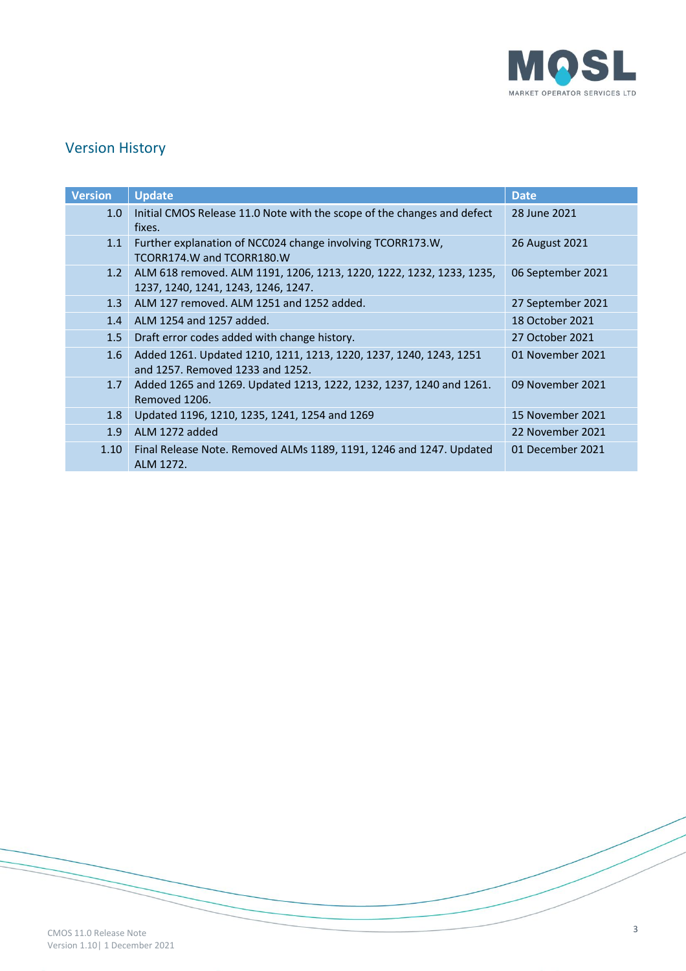

# Version History

| <b>Version</b>   | <b>Update</b>                                                                                               | <b>Date</b>       |
|------------------|-------------------------------------------------------------------------------------------------------------|-------------------|
| 1.0              | Initial CMOS Release 11.0 Note with the scope of the changes and defect<br>fixes.                           | 28 June 2021      |
| 1.1              | Further explanation of NCC024 change involving TCORR173.W,<br>TCORR174.W and TCORR180.W                     | 26 August 2021    |
| 1.2              | ALM 618 removed. ALM 1191, 1206, 1213, 1220, 1222, 1232, 1233, 1235,<br>1237, 1240, 1241, 1243, 1246, 1247. | 06 September 2021 |
| 1.3              | ALM 127 removed. ALM 1251 and 1252 added.                                                                   | 27 September 2021 |
| 1.4              | ALM 1254 and 1257 added.                                                                                    | 18 October 2021   |
| 1.5              | Draft error codes added with change history.                                                                | 27 October 2021   |
| 1.6              | Added 1261. Updated 1210, 1211, 1213, 1220, 1237, 1240, 1243, 1251<br>and 1257. Removed 1233 and 1252.      | 01 November 2021  |
| 1.7 <sub>2</sub> | Added 1265 and 1269. Updated 1213, 1222, 1232, 1237, 1240 and 1261.<br>Removed 1206.                        | 09 November 2021  |
| 1.8              | Updated 1196, 1210, 1235, 1241, 1254 and 1269                                                               | 15 November 2021  |
| 1.9              | ALM 1272 added                                                                                              | 22 November 2021  |
| 1.10             | Final Release Note. Removed ALMs 1189, 1191, 1246 and 1247. Updated<br>ALM 1272.                            | 01 December 2021  |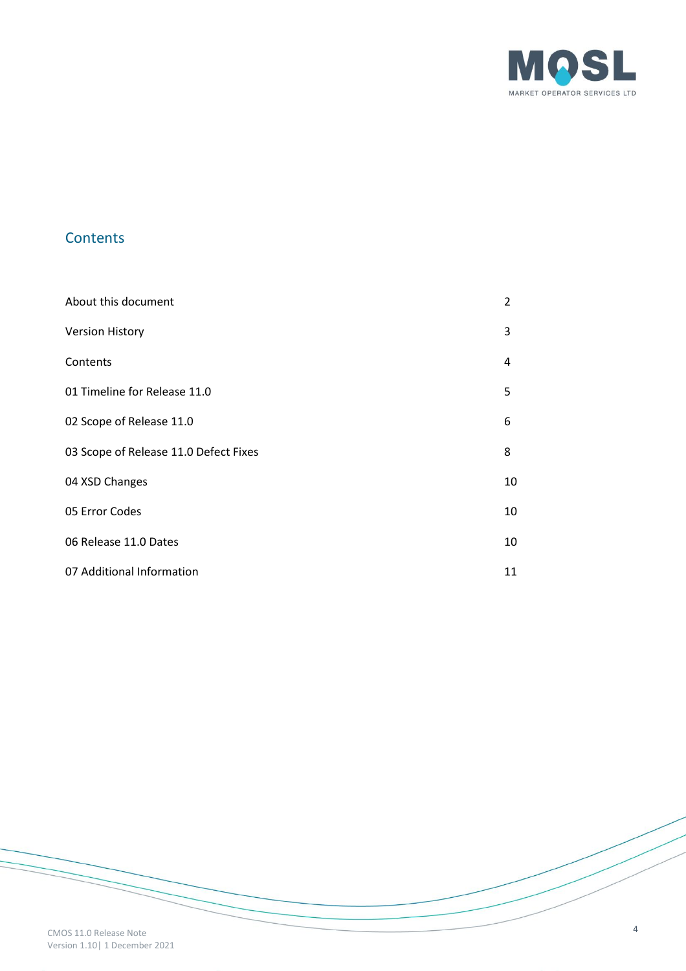

### **Contents**

| About this document                   | $\overline{2}$ |
|---------------------------------------|----------------|
| <b>Version History</b>                | 3              |
| Contents                              | 4              |
| 01 Timeline for Release 11.0          | 5              |
| 02 Scope of Release 11.0              | 6              |
| 03 Scope of Release 11.0 Defect Fixes | 8              |
| 04 XSD Changes                        | 10             |
| 05 Error Codes                        | 10             |
| 06 Release 11.0 Dates                 | 10             |
| 07 Additional Information             | 11             |

4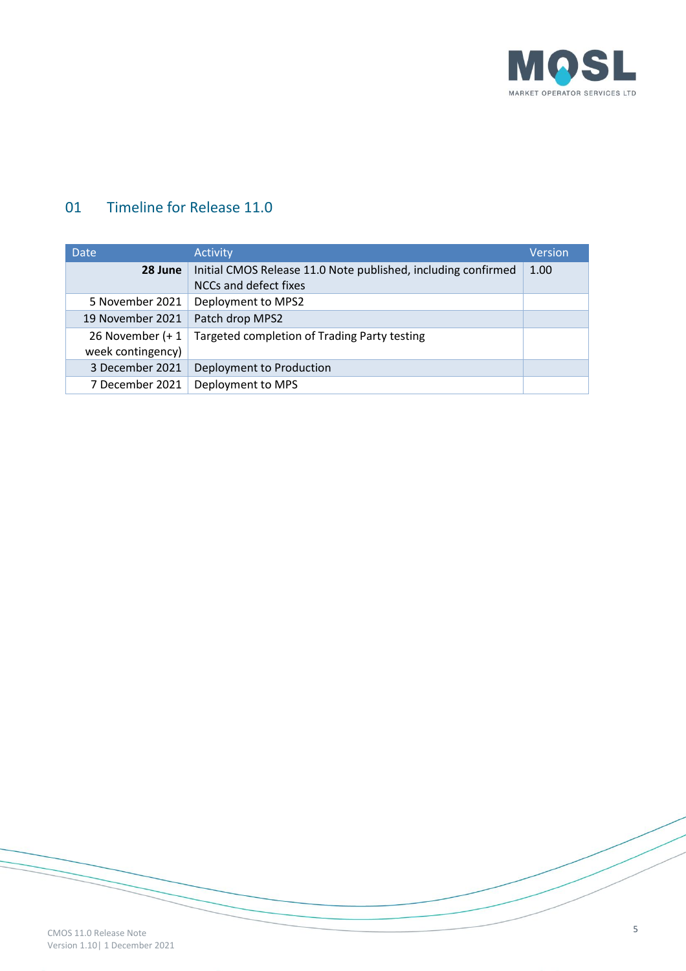

# 01 Timeline for Release 11.0

| <b>Date</b>                           | Activity                                                                                      | <b>Version</b> |
|---------------------------------------|-----------------------------------------------------------------------------------------------|----------------|
| 28 June                               | Initial CMOS Release 11.0 Note published, including confirmed<br><b>NCCs and defect fixes</b> | 1.00           |
| 5 November 2021                       | Deployment to MPS2                                                                            |                |
| 19 November 2021                      | Patch drop MPS2                                                                               |                |
| 26 November (+ 1<br>week contingency) | Targeted completion of Trading Party testing                                                  |                |
| 3 December 2021                       | Deployment to Production                                                                      |                |
| 7 December 2021                       | Deployment to MPS                                                                             |                |

CMOS 11.0 Release Note Version 1.10| 1 December 2021 5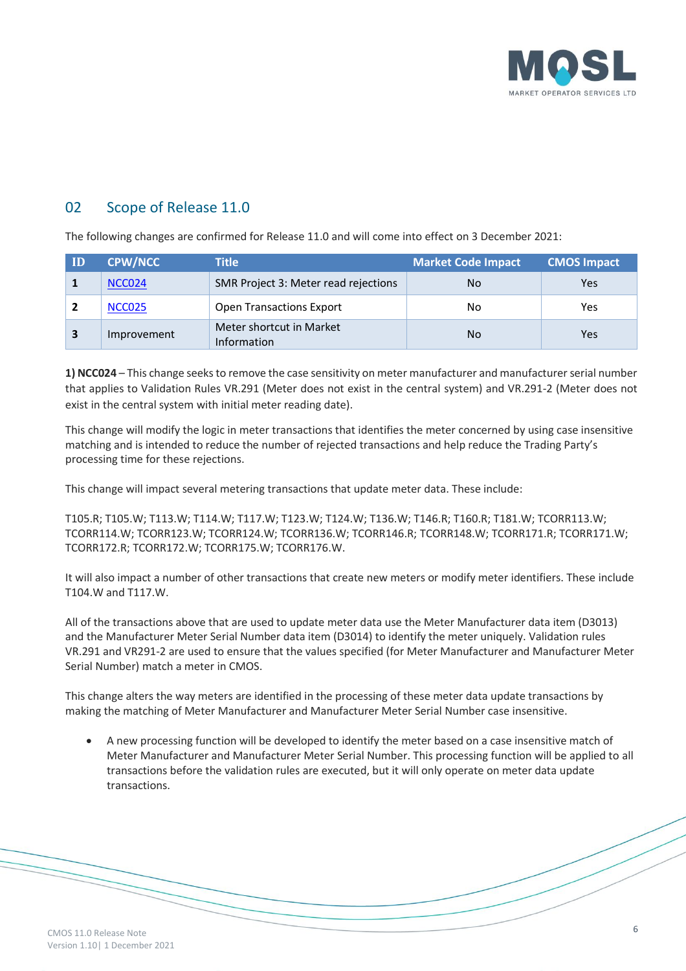

#### 02 Scope of Release 11.0

The following changes are confirmed for Release 11.0 and will come into effect on 3 December 2021:

| <b>ID</b> | <b>CPW/NCC</b> | Title                                   | <b>Market Code Impact</b> | <b>CMOS Impact</b> |
|-----------|----------------|-----------------------------------------|---------------------------|--------------------|
|           | NCC024         | SMR Project 3: Meter read rejections    | No                        | Yes                |
|           | <b>NCC025</b>  | <b>Open Transactions Export</b>         | No                        | Yes                |
|           | Improvement    | Meter shortcut in Market<br>Information | No                        | Yes                |

**1) NCC024** – This change seeks to remove the case sensitivity on meter manufacturer and manufacturer serial number that applies to Validation Rules VR.291 (Meter does not exist in the central system) and VR.291-2 (Meter does not exist in the central system with initial meter reading date).

This change will modify the logic in meter transactions that identifies the meter concerned by using case insensitive matching and is intended to reduce the number of rejected transactions and help reduce the Trading Party's processing time for these rejections.

This change will impact several metering transactions that update meter data. These include:

T105.R; T105.W; T113.W; T114.W; T117.W; T123.W; T124.W; T136.W; T146.R; T160.R; T181.W; TCORR113.W; TCORR114.W; TCORR123.W; TCORR124.W; TCORR136.W; TCORR146.R; TCORR148.W; TCORR171.R; TCORR171.W; TCORR172.R; TCORR172.W; TCORR175.W; TCORR176.W.

It will also impact a number of other transactions that create new meters or modify meter identifiers. These include T104.W and T117.W.

All of the transactions above that are used to update meter data use the Meter Manufacturer data item (D3013) and the Manufacturer Meter Serial Number data item (D3014) to identify the meter uniquely. Validation rules VR.291 and VR291-2 are used to ensure that the values specified (for Meter Manufacturer and Manufacturer Meter Serial Number) match a meter in CMOS.

This change alters the way meters are identified in the processing of these meter data update transactions by making the matching of Meter Manufacturer and Manufacturer Meter Serial Number case insensitive.

• A new processing function will be developed to identify the meter based on a case insensitive match of Meter Manufacturer and Manufacturer Meter Serial Number. This processing function will be applied to all transactions before the validation rules are executed, but it will only operate on meter data update transactions.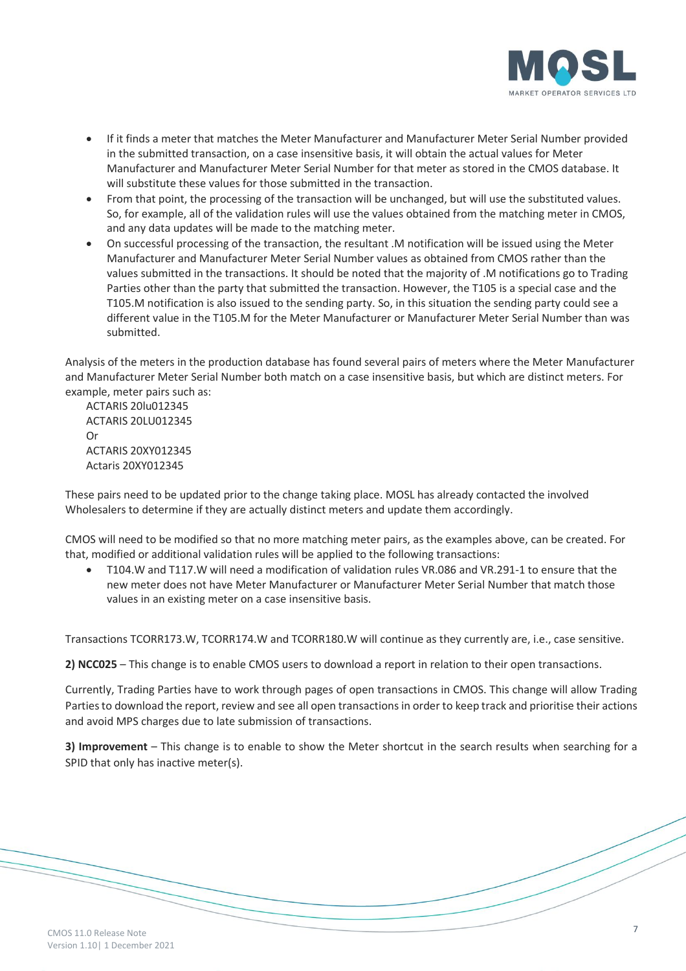

- If it finds a meter that matches the Meter Manufacturer and Manufacturer Meter Serial Number provided in the submitted transaction, on a case insensitive basis, it will obtain the actual values for Meter Manufacturer and Manufacturer Meter Serial Number for that meter as stored in the CMOS database. It will substitute these values for those submitted in the transaction.
- From that point, the processing of the transaction will be unchanged, but will use the substituted values. So, for example, all of the validation rules will use the values obtained from the matching meter in CMOS, and any data updates will be made to the matching meter.
- On successful processing of the transaction, the resultant .M notification will be issued using the Meter Manufacturer and Manufacturer Meter Serial Number values as obtained from CMOS rather than the values submitted in the transactions. It should be noted that the majority of .M notifications go to Trading Parties other than the party that submitted the transaction. However, the T105 is a special case and the T105.M notification is also issued to the sending party. So, in this situation the sending party could see a different value in the T105.M for the Meter Manufacturer or Manufacturer Meter Serial Number than was submitted.

Analysis of the meters in the production database has found several pairs of meters where the Meter Manufacturer and Manufacturer Meter Serial Number both match on a case insensitive basis, but which are distinct meters. For example, meter pairs such as:

ACTARIS 20lu012345 ACTARIS 20LU012345 Or ACTARIS 20XY012345 Actaris 20XY012345

These pairs need to be updated prior to the change taking place. MOSL has already contacted the involved Wholesalers to determine if they are actually distinct meters and update them accordingly.

CMOS will need to be modified so that no more matching meter pairs, as the examples above, can be created. For that, modified or additional validation rules will be applied to the following transactions:

• T104.W and T117.W will need a modification of validation rules VR.086 and VR.291-1 to ensure that the new meter does not have Meter Manufacturer or Manufacturer Meter Serial Number that match those values in an existing meter on a case insensitive basis.

Transactions TCORR173.W, TCORR174.W and TCORR180.W will continue as they currently are, i.e., case sensitive.

**2) NCC025** – This change is to enable CMOS users to download a report in relation to their open transactions.

Currently, Trading Parties have to work through pages of open transactions in CMOS. This change will allow Trading Parties to download the report, review and see all open transactions in order to keep track and prioritise their actions and avoid MPS charges due to late submission of transactions.

**3) Improvement** – This change is to enable to show the Meter shortcut in the search results when searching for a SPID that only has inactive meter(s).

CMOS 11.0 Release Note Version 1.10| 1 December 2021 7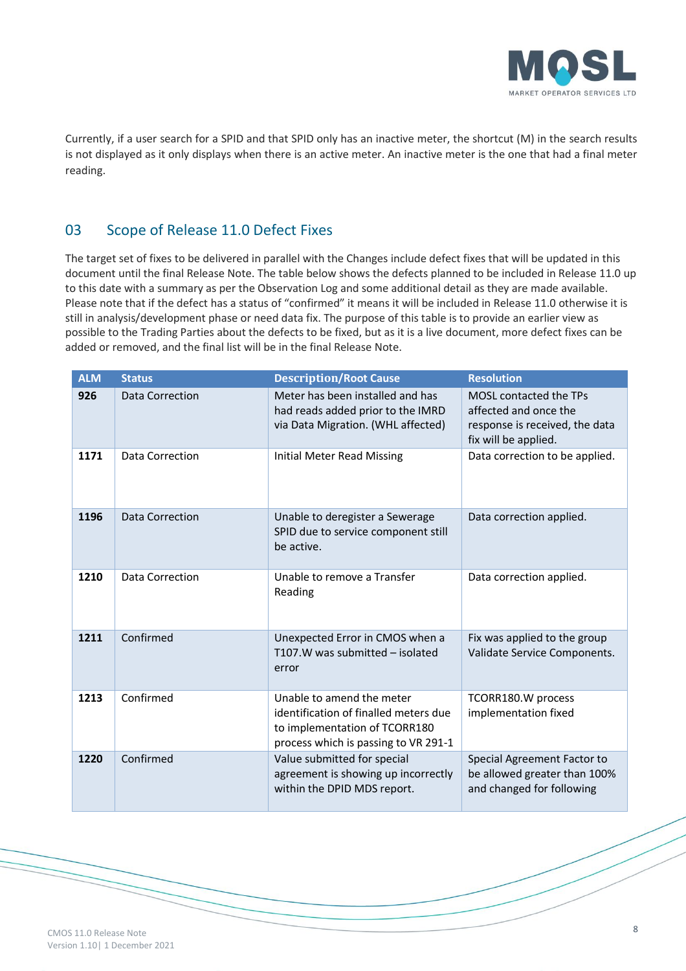

Currently, if a user search for a SPID and that SPID only has an inactive meter, the shortcut (M) in the search results is not displayed as it only displays when there is an active meter. An inactive meter is the one that had a final meter reading.

#### 03 Scope of Release 11.0 Defect Fixes

The target set of fixes to be delivered in parallel with the Changes include defect fixes that will be updated in this document until the final Release Note. The table below shows the defects planned to be included in Release 11.0 up to this date with a summary as per the Observation Log and some additional detail as they are made available. Please note that if the defect has a status of "confirmed" it means it will be included in Release 11.0 otherwise it is still in analysis/development phase or need data fix. The purpose of this table is to provide an earlier view as possible to the Trading Parties about the defects to be fixed, but as it is a live document, more defect fixes can be added or removed, and the final list will be in the final Release Note.

| <b>ALM</b> | <b>Status</b>   | <b>Description/Root Cause</b>                                                                                                               | <b>Resolution</b>                                                                                                |
|------------|-----------------|---------------------------------------------------------------------------------------------------------------------------------------------|------------------------------------------------------------------------------------------------------------------|
| 926        | Data Correction | Meter has been installed and has<br>had reads added prior to the IMRD<br>via Data Migration. (WHL affected)                                 | <b>MOSL contacted the TPs</b><br>affected and once the<br>response is received, the data<br>fix will be applied. |
| 1171       | Data Correction | <b>Initial Meter Read Missing</b>                                                                                                           | Data correction to be applied.                                                                                   |
| 1196       | Data Correction | Unable to deregister a Sewerage<br>SPID due to service component still<br>be active.                                                        | Data correction applied.                                                                                         |
| 1210       | Data Correction | Unable to remove a Transfer<br>Reading                                                                                                      | Data correction applied.                                                                                         |
| 1211       | Confirmed       | Unexpected Error in CMOS when a<br>T107.W was submitted - isolated<br>error                                                                 | Fix was applied to the group<br>Validate Service Components.                                                     |
| 1213       | Confirmed       | Unable to amend the meter<br>identification of finalled meters due<br>to implementation of TCORR180<br>process which is passing to VR 291-1 | TCORR180.W process<br>implementation fixed                                                                       |
| 1220       | Confirmed       | Value submitted for special<br>agreement is showing up incorrectly<br>within the DPID MDS report.                                           | Special Agreement Factor to<br>be allowed greater than 100%<br>and changed for following                         |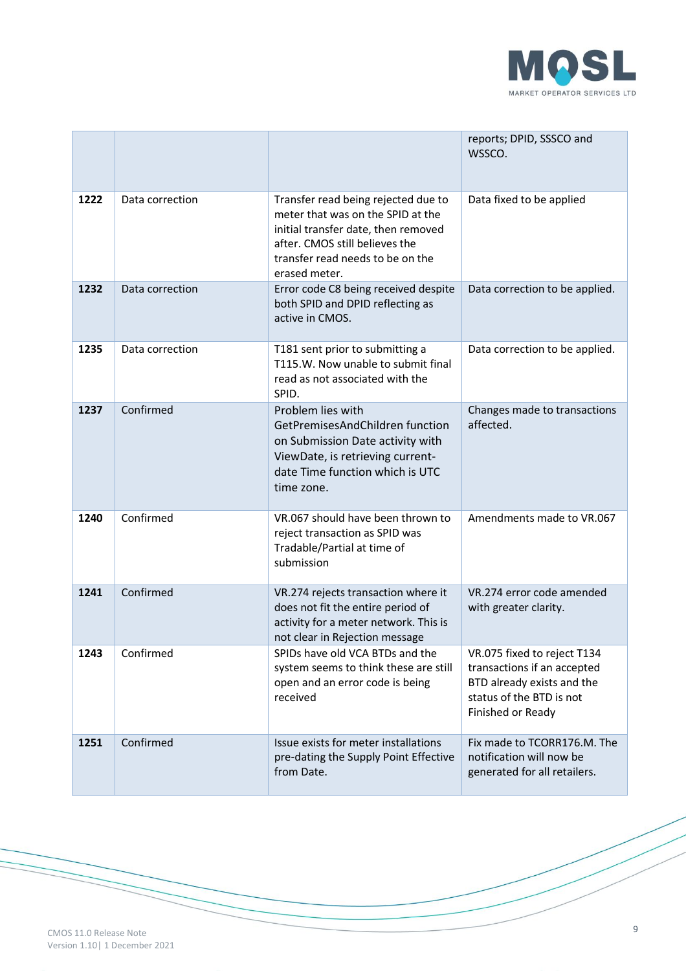

|      |                 |                                                                                                                                                                                                        | reports; DPID, SSSCO and<br>WSSCO.                                                                                                        |
|------|-----------------|--------------------------------------------------------------------------------------------------------------------------------------------------------------------------------------------------------|-------------------------------------------------------------------------------------------------------------------------------------------|
| 1222 | Data correction | Transfer read being rejected due to<br>meter that was on the SPID at the<br>initial transfer date, then removed<br>after. CMOS still believes the<br>transfer read needs to be on the<br>erased meter. | Data fixed to be applied                                                                                                                  |
| 1232 | Data correction | Error code C8 being received despite<br>both SPID and DPID reflecting as<br>active in CMOS.                                                                                                            | Data correction to be applied.                                                                                                            |
| 1235 | Data correction | T181 sent prior to submitting a<br>T115.W. Now unable to submit final<br>read as not associated with the<br>SPID.                                                                                      | Data correction to be applied.                                                                                                            |
| 1237 | Confirmed       | Problem lies with<br>GetPremisesAndChildren function<br>on Submission Date activity with<br>ViewDate, is retrieving current-<br>date Time function which is UTC<br>time zone.                          | Changes made to transactions<br>affected.                                                                                                 |
| 1240 | Confirmed       | VR.067 should have been thrown to<br>reject transaction as SPID was<br>Tradable/Partial at time of<br>submission                                                                                       | Amendments made to VR.067                                                                                                                 |
| 1241 | Confirmed       | VR.274 rejects transaction where it<br>does not fit the entire period of<br>activity for a meter network. This is<br>not clear in Rejection message                                                    | VR.274 error code amended<br>with greater clarity.                                                                                        |
| 1243 | Confirmed       | SPIDs have old VCA BTDs and the<br>system seems to think these are still<br>open and an error code is being<br>received                                                                                | VR.075 fixed to reject T134<br>transactions if an accepted<br>BTD already exists and the<br>status of the BTD is not<br>Finished or Ready |
| 1251 | Confirmed       | Issue exists for meter installations<br>pre-dating the Supply Point Effective<br>from Date.                                                                                                            | Fix made to TCORR176.M. The<br>notification will now be<br>generated for all retailers.                                                   |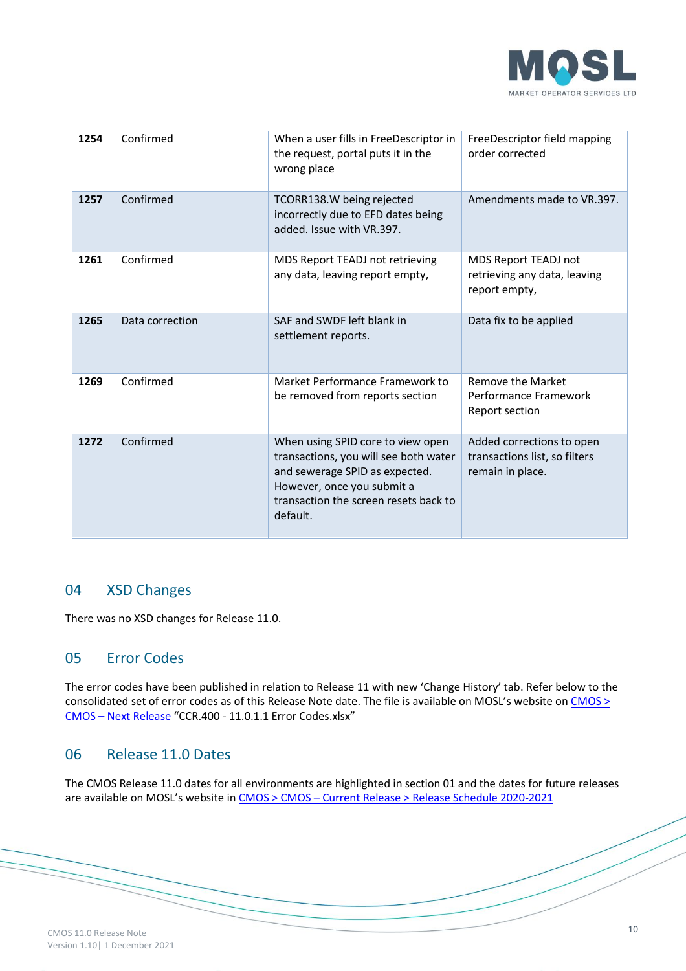

| 1254 | Confirmed       | When a user fills in FreeDescriptor in<br>the request, portal puts it in the<br>wrong place                                                                                                     | FreeDescriptor field mapping<br>order corrected                                |
|------|-----------------|-------------------------------------------------------------------------------------------------------------------------------------------------------------------------------------------------|--------------------------------------------------------------------------------|
| 1257 | Confirmed       | TCORR138.W being rejected<br>incorrectly due to EFD dates being<br>added. Issue with VR.397.                                                                                                    | Amendments made to VR.397.                                                     |
| 1261 | Confirmed       | MDS Report TEADJ not retrieving<br>any data, leaving report empty,                                                                                                                              | MDS Report TEADJ not<br>retrieving any data, leaving<br>report empty,          |
| 1265 | Data correction | SAF and SWDF left blank in<br>settlement reports.                                                                                                                                               | Data fix to be applied                                                         |
| 1269 | Confirmed       | Market Performance Framework to<br>be removed from reports section                                                                                                                              | <b>Remove the Market</b><br>Performance Framework<br>Report section            |
| 1272 | Confirmed       | When using SPID core to view open<br>transactions, you will see both water<br>and sewerage SPID as expected.<br>However, once you submit a<br>transaction the screen resets back to<br>default. | Added corrections to open<br>transactions list, so filters<br>remain in place. |

#### 04 XSD Changes

There was no XSD changes for Release 11.0.

#### 05 Error Codes

The error codes have been published in relation to Release 11 with new 'Change History' tab. Refer below to the consolidated set of error codes as of this Release Note date. The file is available on MOSL's website on CMOS > CMOS – [Next Release](https://mosl.co.uk/cmos) "CCR.400 - 11.0.1.1 Error Codes.xlsx"

#### 06 Release 11.0 Dates

The CMOS Release 11.0 dates for all environments are highlighted in section 01 and the dates for future releases are available on MOSL's website in CMOS > CMOS - Current Release [> Release Schedule 2020-2021](https://mosl.co.uk/cmos)